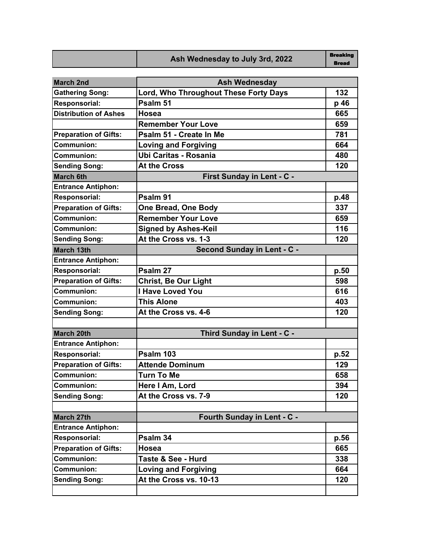| Ash Wednesday to July 3rd, 2022 | <b>Breaking</b><br><b>Bread</b> |
|---------------------------------|---------------------------------|
|---------------------------------|---------------------------------|

| <b>March 2nd</b>             | <b>Ash Wednesday</b>                  |      |
|------------------------------|---------------------------------------|------|
| <b>Gathering Song:</b>       | Lord, Who Throughout These Forty Days | 132  |
| Responsorial:                | Psalm 51                              | p 46 |
| <b>Distribution of Ashes</b> | Hosea                                 | 665  |
|                              | <b>Remember Your Love</b>             | 659  |
| <b>Preparation of Gifts:</b> | Psalm 51 - Create In Me               | 781  |
| Communion:                   | <b>Loving and Forgiving</b>           | 664  |
| Communion:                   | Ubi Caritas - Rosania                 | 480  |
| <b>Sending Song:</b>         | <b>At the Cross</b>                   | 120  |
| <b>March 6th</b>             | First Sunday in Lent - C -            |      |
| <b>Entrance Antiphon:</b>    |                                       |      |
| Responsorial:                | Psalm <sub>91</sub>                   | p.48 |
| <b>Preparation of Gifts:</b> | One Bread, One Body                   | 337  |
| Communion:                   | <b>Remember Your Love</b>             | 659  |
| Communion:                   | <b>Signed by Ashes-Keil</b>           | 116  |
| <b>Sending Song:</b>         | At the Cross vs. 1-3                  | 120  |
| <b>March 13th</b>            | Second Sunday in Lent - C -           |      |
| <b>Entrance Antiphon:</b>    |                                       |      |
| Responsorial:                | Psalm <sub>27</sub>                   | p.50 |
| <b>Preparation of Gifts:</b> | <b>Christ, Be Our Light</b>           | 598  |
| Communion:                   | <b>I Have Loved You</b>               | 616  |
| Communion:                   | <b>This Alone</b>                     | 403  |
| <b>Sending Song:</b>         | At the Cross vs. 4-6                  | 120  |
|                              |                                       |      |
| <b>March 20th</b>            | Third Sunday in Lent - C -            |      |
| <b>Entrance Antiphon:</b>    |                                       |      |
| <b>Responsorial:</b>         | Psalm 103                             | p.52 |
| <b>Preparation of Gifts:</b> | <b>Attende Dominum</b>                | 129  |
| <b>Communion:</b>            | <b>Turn To Me</b>                     | 658  |
| Communion:                   | Here I Am, Lord                       | 394  |
| <b>Sending Song:</b>         | At the Cross vs. 7-9                  | 120  |
|                              |                                       |      |
| March 27th                   | Fourth Sunday in Lent - C -           |      |
| <b>Entrance Antiphon:</b>    |                                       |      |
| Responsorial:                | Psalm 34                              | p.56 |
| <b>Preparation of Gifts:</b> | Hosea                                 | 665  |
|                              | <b>Taste &amp; See - Hurd</b>         | 338  |
| Communion:                   |                                       |      |
| Communion:                   | <b>Loving and Forgiving</b>           | 664  |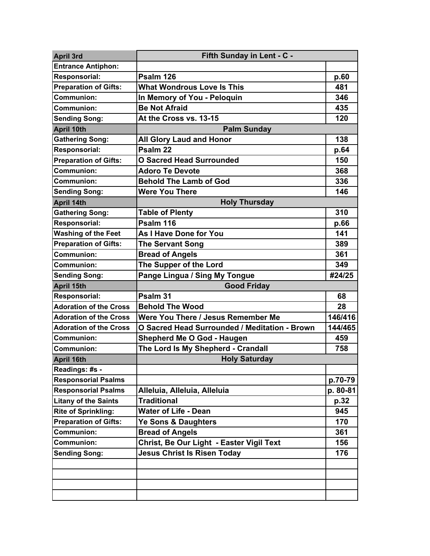| <b>April 3rd</b>              | Fifth Sunday in Lent - C -                    |          |
|-------------------------------|-----------------------------------------------|----------|
| <b>Entrance Antiphon:</b>     |                                               |          |
| Responsorial:                 | Psalm 126                                     | p.60     |
| <b>Preparation of Gifts:</b>  | <b>What Wondrous Love Is This</b>             | 481      |
| <b>Communion:</b>             | In Memory of You - Peloquin                   | 346      |
| <b>Communion:</b>             | <b>Be Not Afraid</b>                          | 435      |
| <b>Sending Song:</b>          | At the Cross vs. 13-15                        | 120      |
| <b>April 10th</b>             | <b>Palm Sunday</b>                            |          |
| <b>Gathering Song:</b>        | <b>All Glory Laud and Honor</b>               | 138      |
| Responsorial:                 | Psalm 22                                      | p.64     |
| <b>Preparation of Gifts:</b>  | <b>O Sacred Head Surrounded</b>               | 150      |
| <b>Communion:</b>             | <b>Adoro Te Devote</b>                        | 368      |
| <b>Communion:</b>             | <b>Behold The Lamb of God</b>                 | 336      |
| <b>Sending Song:</b>          | <b>Were You There</b>                         | 146      |
| April 14th                    | <b>Holy Thursday</b>                          |          |
| <b>Gathering Song:</b>        | <b>Table of Plenty</b>                        | 310      |
| Responsorial:                 | Psalm 116                                     | p.66     |
| <b>Washing of the Feet</b>    | As I Have Done for You                        | 141      |
| <b>Preparation of Gifts:</b>  | <b>The Servant Song</b>                       | 389      |
| <b>Communion:</b>             | <b>Bread of Angels</b>                        | 361      |
| <b>Communion:</b>             | The Supper of the Lord                        | 349      |
| <b>Sending Song:</b>          | Pange Lingua / Sing My Tongue                 | #24/25   |
| April 15th                    | <b>Good Friday</b>                            |          |
| Responsorial:                 | Psalm 31                                      | 68       |
| <b>Adoration of the Cross</b> | <b>Behold The Wood</b>                        | 28       |
| <b>Adoration of the Cross</b> | Were You There / Jesus Remember Me            | 146/416  |
| <b>Adoration of the Cross</b> | O Sacred Head Surrounded / Meditation - Brown | 144/465  |
| <b>Communion:</b>             | Shepherd Me O God - Haugen                    | 459      |
| <b>Communion:</b>             | The Lord Is My Shepherd - Crandall            | 758      |
| April 16th                    | <b>Holy Saturday</b>                          |          |
| Readings: #s -                |                                               |          |
| <b>Responsorial Psalms</b>    |                                               | p.70-79  |
| <b>Responsorial Psalms</b>    | Alleluia, Alleluia, Alleluia                  | p. 80-81 |
| <b>Litany of the Saints</b>   | <b>Traditional</b>                            | p.32     |
| <b>Rite of Sprinkling:</b>    | <b>Water of Life - Dean</b>                   | 945      |
| <b>Preparation of Gifts:</b>  | Ye Sons & Daughters                           | 170      |
| <b>Communion:</b>             | <b>Bread of Angels</b>                        | 361      |
| <b>Communion:</b>             | Christ, Be Our Light - Easter Vigil Text      | 156      |
| <b>Sending Song:</b>          | <b>Jesus Christ Is Risen Today</b>            | 176      |
|                               |                                               |          |
|                               |                                               |          |
|                               |                                               |          |
|                               |                                               |          |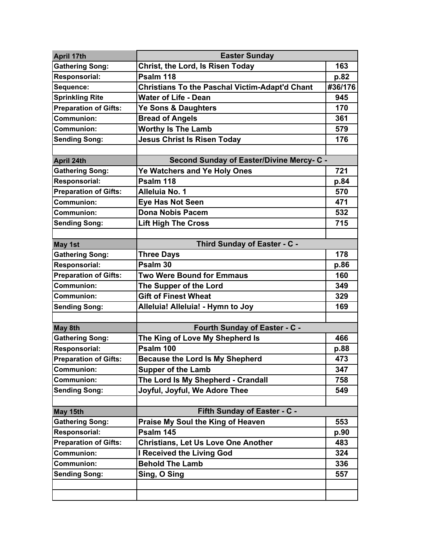| April 17th                   | <b>Easter Sunday</b>                                  |         |
|------------------------------|-------------------------------------------------------|---------|
| <b>Gathering Song:</b>       | Christ, the Lord, Is Risen Today                      | 163     |
| Responsorial:                | Psalm 118                                             | p.82    |
| Sequence:                    | <b>Christians To the Paschal Victim-Adapt'd Chant</b> | #36/176 |
| <b>Sprinkling Rite</b>       | <b>Water of Life - Dean</b>                           | 945     |
| <b>Preparation of Gifts:</b> | Ye Sons & Daughters                                   | 170     |
| <b>Communion:</b>            | <b>Bread of Angels</b>                                | 361     |
| <b>Communion:</b>            | <b>Worthy Is The Lamb</b>                             | 579     |
| <b>Sending Song:</b>         | <b>Jesus Christ Is Risen Today</b>                    | 176     |
|                              |                                                       |         |
| <b>April 24th</b>            | Second Sunday of Easter/Divine Mercy- C -             |         |
| <b>Gathering Song:</b>       | Ye Watchers and Ye Holy Ones                          | 721     |
| Responsorial:                | Psalm 118                                             | p.84    |
| <b>Preparation of Gifts:</b> | <b>Alleluia No. 1</b>                                 | 570     |
| <b>Communion:</b>            | <b>Eye Has Not Seen</b>                               | 471     |
| <b>Communion:</b>            | <b>Dona Nobis Pacem</b>                               | 532     |
| <b>Sending Song:</b>         | <b>Lift High The Cross</b>                            | 715     |
|                              |                                                       |         |
| May 1st                      | Third Sunday of Easter - C -                          |         |
| <b>Gathering Song:</b>       | <b>Three Days</b>                                     | 178     |
| Responsorial:                | Psalm 30                                              | p.86    |
| <b>Preparation of Gifts:</b> | <b>Two Were Bound for Emmaus</b>                      | 160     |
| <b>Communion:</b>            | The Supper of the Lord                                | 349     |
| <b>Communion:</b>            | <b>Gift of Finest Wheat</b>                           | 329     |
| <b>Sending Song:</b>         | Alleluia! Alleluia! - Hymn to Joy                     | 169     |
|                              |                                                       |         |
| May 8th                      | Fourth Sunday of Easter - C -                         |         |
| <b>Gathering Song:</b>       | The King of Love My Shepherd Is                       | 466     |
| Responsorial:                | Psalm 100                                             | p.88    |
| <b>Preparation of Gifts:</b> | <b>Because the Lord Is My Shepherd</b>                | 473     |
| <b>Communion:</b>            | <b>Supper of the Lamb</b>                             | 347     |
| <b>Communion:</b>            | The Lord Is My Shepherd - Crandall                    | 758     |
| <b>Sending Song:</b>         | Joyful, Joyful, We Adore Thee                         | 549     |
|                              |                                                       |         |
| May 15th                     | Fifth Sunday of Easter - C -                          |         |
| <b>Gathering Song:</b>       | Praise My Soul the King of Heaven                     | 553     |
| Responsorial:                | Psalm 145                                             | p.90    |
| <b>Preparation of Gifts:</b> | <b>Christians, Let Us Love One Another</b>            | 483     |
| <b>Communion:</b>            | I Received the Living God                             | 324     |
| <b>Communion:</b>            | <b>Behold The Lamb</b>                                | 336     |
| <b>Sending Song:</b>         | Sing, O Sing                                          | 557     |
|                              |                                                       |         |
|                              |                                                       |         |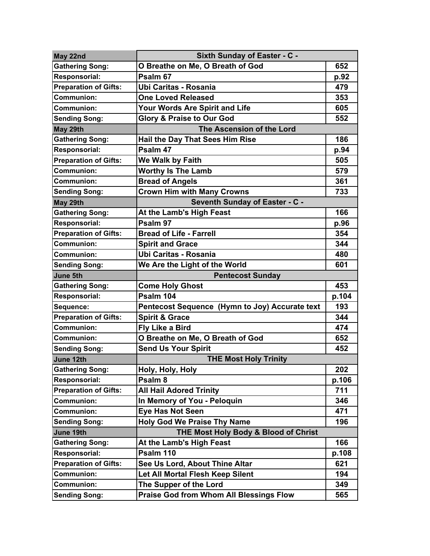| May 22nd                     | Sixth Sunday of Easter - C -                   |       |
|------------------------------|------------------------------------------------|-------|
| <b>Gathering Song:</b>       | O Breathe on Me, O Breath of God               | 652   |
| Responsorial:                | Psalm 67                                       | p.92  |
| <b>Preparation of Gifts:</b> | Ubi Caritas - Rosania                          | 479   |
| <b>Communion:</b>            | <b>One Loved Released</b>                      | 353   |
| <b>Communion:</b>            | Your Words Are Spirit and Life                 | 605   |
| <b>Sending Song:</b>         | <b>Glory &amp; Praise to Our God</b>           | 552   |
| May 29th                     | The Ascension of the Lord                      |       |
| <b>Gathering Song:</b>       | Hail the Day That Sees Him Rise                | 186   |
| Responsorial:                | Psalm 47                                       | p.94  |
| <b>Preparation of Gifts:</b> | We Walk by Faith                               | 505   |
| <b>Communion:</b>            | <b>Worthy Is The Lamb</b>                      | 579   |
| Communion:                   | <b>Bread of Angels</b>                         | 361   |
| <b>Sending Song:</b>         | <b>Crown Him with Many Crowns</b>              | 733   |
| May 29th                     | Seventh Sunday of Easter - C -                 |       |
| <b>Gathering Song:</b>       | At the Lamb's High Feast                       | 166   |
| Responsorial:                | Psalm 97                                       | p.96  |
| <b>Preparation of Gifts:</b> | <b>Bread of Life - Farrell</b>                 | 354   |
| <b>Communion:</b>            | <b>Spirit and Grace</b>                        | 344   |
| <b>Communion:</b>            | Ubi Caritas - Rosania                          | 480   |
| <b>Sending Song:</b>         | We Are the Light of the World                  | 601   |
| June 5th                     | <b>Pentecost Sunday</b>                        |       |
| <b>Gathering Song:</b>       | <b>Come Holy Ghost</b>                         | 453   |
| Responsorial:                | Psalm 104                                      | p.104 |
| Sequence:                    | Pentecost Sequence (Hymn to Joy) Accurate text | 193   |
| <b>Preparation of Gifts:</b> | <b>Spirit &amp; Grace</b>                      | 344   |
| <b>Communion:</b>            | Fly Like a Bird                                | 474   |
| <b>Communion:</b>            | O Breathe on Me, O Breath of God               | 652   |
| <b>Sending Song:</b>         | <b>Send Us Your Spirit</b>                     | 452   |
| June 12th                    | <b>THE Most Holy Trinity</b>                   |       |
| <b>Gathering Song:</b>       | Holy, Holy, Holy                               | 202   |
| Responsorial:                | Psalm <sub>8</sub>                             | p.106 |
| <b>Preparation of Gifts:</b> | <b>All Hail Adored Trinity</b>                 | 711   |
| <b>Communion:</b>            | In Memory of You - Peloquin                    | 346   |
| <b>Communion:</b>            | <b>Eye Has Not Seen</b>                        | 471   |
| <b>Sending Song:</b>         | <b>Holy God We Praise Thy Name</b>             | 196   |
| June 19th                    | THE Most Holy Body & Blood of Christ           |       |
| <b>Gathering Song:</b>       | At the Lamb's High Feast                       | 166   |
| Responsorial:                | Psalm 110                                      | p.108 |
| <b>Preparation of Gifts:</b> | See Us Lord, About Thine Altar                 | 621   |
| <b>Communion:</b>            | Let All Mortal Flesh Keep Silent               | 194   |
| <b>Communion:</b>            | The Supper of the Lord                         | 349   |
| <b>Sending Song:</b>         | <b>Praise God from Whom All Blessings Flow</b> | 565   |